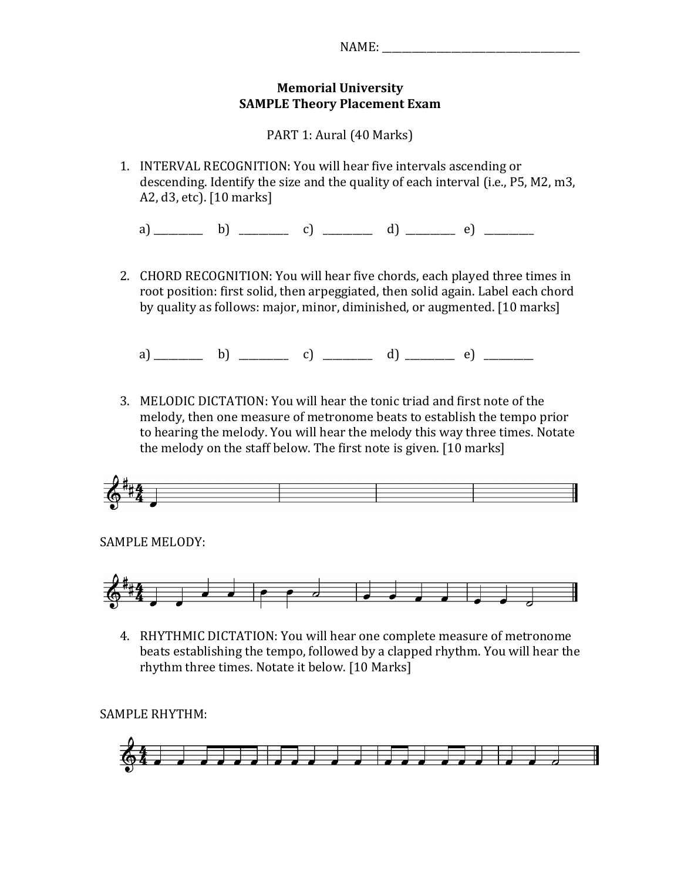## **Memorial)University) SAMPLE Theory Placement Exam**

PART 1: Aural (40 Marks)

1. INTERVAL RECOGNITION: You will hear five intervals ascending or descending. Identify the size and the quality of each interval (i.e., P5, M2, m3, A2,  $d3$ , etc). [10 marks]

a)&\_\_\_\_\_\_\_\_\_\_&&&&&b)&&&\_\_\_\_\_\_\_\_\_\_&&&&&c)&&&\_\_\_\_\_\_\_\_\_\_&&&&&d)&&\_\_\_\_\_\_\_\_\_\_&&&e)&&&\_\_\_\_\_\_\_\_\_\_

2. CHORD RECOGNITION: You will hear five chords, each played three times in root position: first solid, then arpeggiated, then solid again. Label each chord by quality as follows: major, minor, diminished, or augmented. [10 marks]

a)&\_\_\_\_\_\_\_\_\_\_&&&&&b)&&&\_\_\_\_\_\_\_\_\_\_&&&&&c)&&&\_\_\_\_\_\_\_\_\_\_&&&&&d)&&\_\_\_\_\_\_\_\_\_\_&&&e)&&&\_\_\_\_\_\_\_\_\_\_

3. MELODIC DICTATION: You will hear the tonic triad and first note of the melody, then one measure of metronome beats to establish the tempo prior to hearing the melody. You will hear the melody this way three times. Notate the melody on the staff below. The first note is given. [10 marks]



SAMPLE MELODY:



4. RHYTHMIC DICTATION: You will hear one complete measure of metronome beats establishing the tempo, followed by a clapped rhythm. You will hear the rhythm three times. Notate it below. [10 Marks]

SAMPLE RHYTHM:

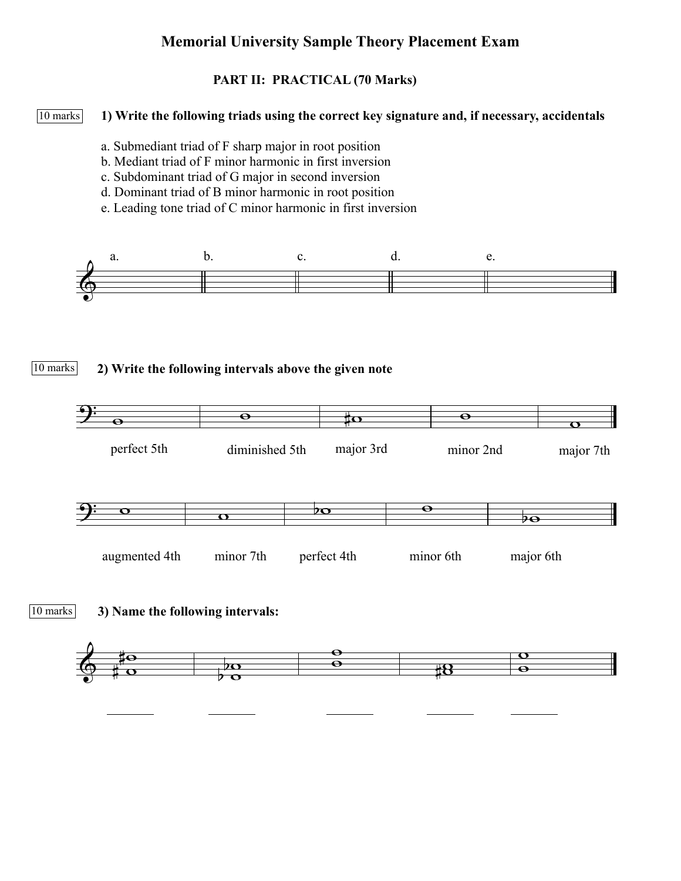# **Memorial University Sample Theory Placement Exam**

### **PART II: PRACTICAL (70 Marks)**

#### **1) Write the following triads using the correct key signature and, if necessary, accidentals** 10 marks

- a. Submediant triad of F sharp major in root position
- b. Mediant triad of F minor harmonic in first inversion
- c. Subdominant triad of G major in second inversion
- d. Dominant triad of B minor harmonic in root position
- e. Leading tone triad of C minor harmonic in first inversion









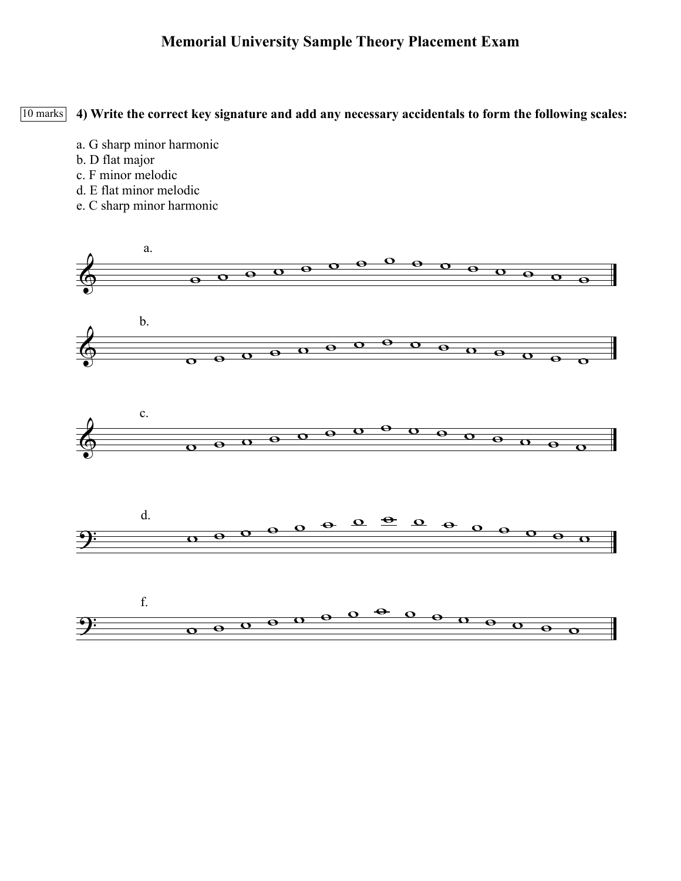# **Memorial University Sample Theory Placement Exam**

**4) Write the correct key signature and add any necessary accidentals to form the following scales:** 10 marks

- a. G sharp minor harmonic
- b. D flat major
- c. F minor melodic
- d. E flat minor melodic
- e. C sharp minor harmonic